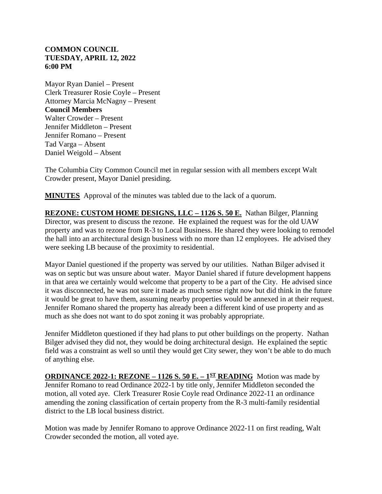## **COMMON COUNCIL TUESDAY, APRIL 12, 2022 6:00 PM**

Mayor Ryan Daniel – Present Clerk Treasurer Rosie Coyle – Present Attorney Marcia McNagny – Present **Council Members** Walter Crowder – Present Jennifer Middleton – Present Jennifer Romano – Present Tad Varga – Absent Daniel Weigold – Absent

The Columbia City Common Council met in regular session with all members except Walt Crowder present, Mayor Daniel presiding.

**MINUTES** Approval of the minutes was tabled due to the lack of a quorum.

**REZONE: CUSTOM HOME DESIGNS, LLC – 1126 S. 50 E.** Nathan Bilger, Planning Director, was present to discuss the rezone. He explained the request was for the old UAW property and was to rezone from R-3 to Local Business. He shared they were looking to remodel the hall into an architectural design business with no more than 12 employees. He advised they were seeking LB because of the proximity to residential.

Mayor Daniel questioned if the property was served by our utilities. Nathan Bilger advised it was on septic but was unsure about water. Mayor Daniel shared if future development happens in that area we certainly would welcome that property to be a part of the City. He advised since it was disconnected, he was not sure it made as much sense right now but did think in the future it would be great to have them, assuming nearby properties would be annexed in at their request. Jennifer Romano shared the property has already been a different kind of use property and as much as she does not want to do spot zoning it was probably appropriate.

Jennifer Middleton questioned if they had plans to put other buildings on the property. Nathan Bilger advised they did not, they would be doing architectural design. He explained the septic field was a constraint as well so until they would get City sewer, they won't be able to do much of anything else.

**ORDINANCE 2022-1: REZONE – 1126 S. 50 E. –**  $1<sup>ST</sup>$  **<b>READING** Motion was made by Jennifer Romano to read Ordinance 2022-1 by title only, Jennifer Middleton seconded the motion, all voted aye. Clerk Treasurer Rosie Coyle read Ordinance 2022-11 an ordinance amending the zoning classification of certain property from the R-3 multi-family residential district to the LB local business district.

Motion was made by Jennifer Romano to approve Ordinance 2022-11 on first reading, Walt Crowder seconded the motion, all voted aye.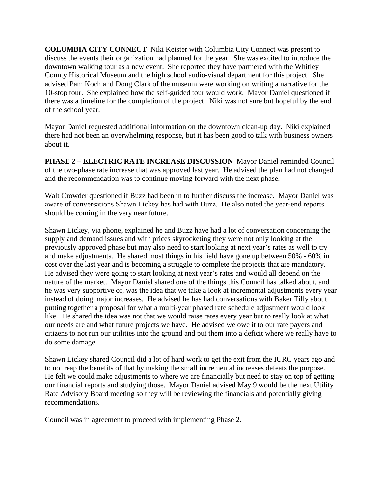**COLUMBIA CITY CONNECT** Niki Keister with Columbia City Connect was present to discuss the events their organization had planned for the year. She was excited to introduce the downtown walking tour as a new event. She reported they have partnered with the Whitley County Historical Museum and the high school audio-visual department for this project. She advised Pam Koch and Doug Clark of the museum were working on writing a narrative for the 10-stop tour. She explained how the self-guided tour would work. Mayor Daniel questioned if there was a timeline for the completion of the project. Niki was not sure but hopeful by the end of the school year.

Mayor Daniel requested additional information on the downtown clean-up day. Niki explained there had not been an overwhelming response, but it has been good to talk with business owners about it.

**PHASE 2 – ELECTRIC RATE INCREASE DISCUSSION** Mayor Daniel reminded Council of the two-phase rate increase that was approved last year. He advised the plan had not changed and the recommendation was to continue moving forward with the next phase.

Walt Crowder questioned if Buzz had been in to further discuss the increase. Mayor Daniel was aware of conversations Shawn Lickey has had with Buzz. He also noted the year-end reports should be coming in the very near future.

Shawn Lickey, via phone, explained he and Buzz have had a lot of conversation concerning the supply and demand issues and with prices skyrocketing they were not only looking at the previously approved phase but may also need to start looking at next year's rates as well to try and make adjustments. He shared most things in his field have gone up between 50% - 60% in cost over the last year and is becoming a struggle to complete the projects that are mandatory. He advised they were going to start looking at next year's rates and would all depend on the nature of the market. Mayor Daniel shared one of the things this Council has talked about, and he was very supportive of, was the idea that we take a look at incremental adjustments every year instead of doing major increases. He advised he has had conversations with Baker Tilly about putting together a proposal for what a multi-year phased rate schedule adjustment would look like. He shared the idea was not that we would raise rates every year but to really look at what our needs are and what future projects we have. He advised we owe it to our rate payers and citizens to not run our utilities into the ground and put them into a deficit where we really have to do some damage.

Shawn Lickey shared Council did a lot of hard work to get the exit from the IURC years ago and to not reap the benefits of that by making the small incremental increases defeats the purpose. He felt we could make adjustments to where we are financially but need to stay on top of getting our financial reports and studying those. Mayor Daniel advised May 9 would be the next Utility Rate Advisory Board meeting so they will be reviewing the financials and potentially giving recommendations.

Council was in agreement to proceed with implementing Phase 2.